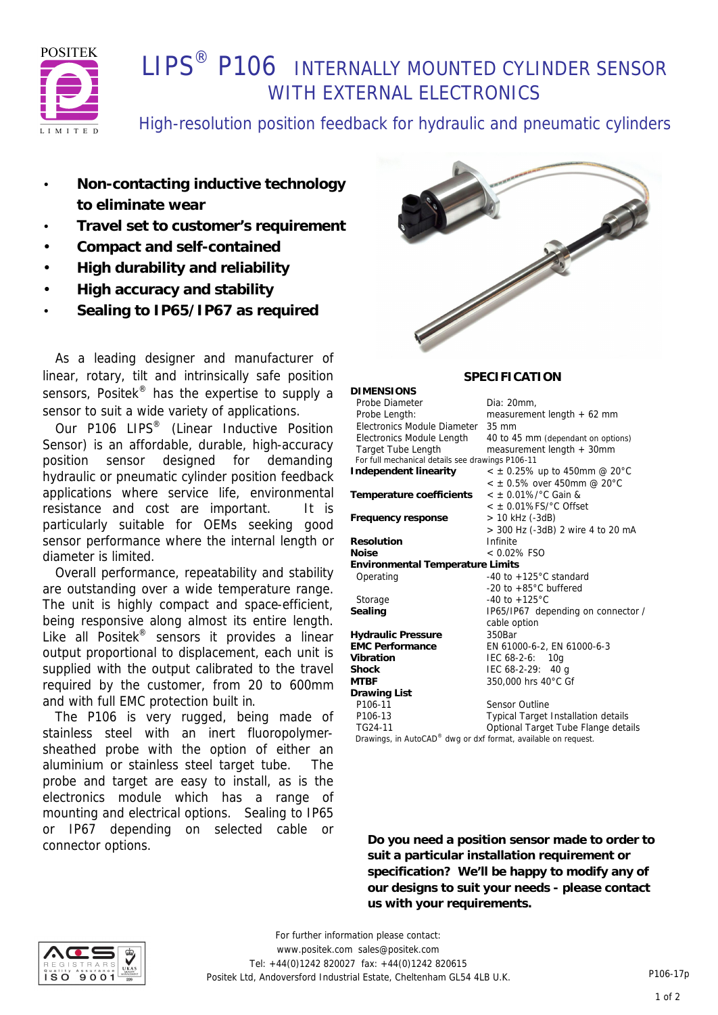

# **I IPS<sup>®</sup> P106 INTERNALLY MOUNTED CYLINDER SENSOR** WITH EXTERNAL ELECTRONICS

High-resolution position feedback for hydraulic and pneumatic cylinders

- **Non-contacting inductive technology to eliminate wear**
- **Travel set to customer's requirement**
- **Compact and self-contained**
- **High durability and reliability**
- **High accuracy and stability**
- **Sealing to IP65/IP67 as required**

 As a leading designer and manufacturer of linear, rotary, tilt and intrinsically safe position sensors, Positek<sup>®</sup> has the expertise to supply a sensor to suit a wide variety of applications.

Our P106 LIPS<sup>®</sup> (Linear Inductive Position Sensor) is an affordable, durable, high-accuracy position sensor designed for demanding hydraulic or pneumatic cylinder position feedback applications where service life, environmental resistance and cost are important. It is particularly suitable for OEMs seeking good sensor performance where the internal length or diameter is limited.

 Overall performance, repeatability and stability are outstanding over a wide temperature range. The unit is highly compact and space-efficient, being responsive along almost its entire length. Like all Positek® sensors it provides a linear output proportional to displacement, each unit is supplied with the output calibrated to the travel required by the customer, from 20 to 600mm and with full EMC protection built in.

 The P106 is very rugged, being made of stainless steel with an inert fluoropolymersheathed probe with the option of either an aluminium or stainless steel target tube. The probe and target are easy to install, as is the electronics module which has a range of mounting and electrical options. Sealing to IP65 or IP67 depending on selected cable or connector options.



### **SPECIFICATION**

| DIMENSIONS                                                     |                                        |  |  |
|----------------------------------------------------------------|----------------------------------------|--|--|
| Probe Diameter                                                 | Dia: 20mm,                             |  |  |
| Probe Length:                                                  | measurement length $+62$ mm            |  |  |
| Electronics Module Diameter                                    | $35 \text{ mm}$                        |  |  |
| Electronics Module Length                                      | 40 to 45 mm (dependant on options)     |  |  |
| <b>Target Tube Length</b>                                      | measurement length + 30mm              |  |  |
| For full mechanical details see drawings P106-11               |                                        |  |  |
| Independent linearity                                          | $<$ ± 0.25% up to 450mm @ 20°C         |  |  |
|                                                                | $< +0.5\%$ over 450mm @ 20°C           |  |  |
| Temperature coefficients                                       | $<$ ± 0.01%/°C Gain &                  |  |  |
|                                                                | $<$ $\pm$ 0.01%FS/ $^{\circ}$ C Offset |  |  |
| Frequency response                                             | > 10 kHz (-3dB)                        |  |  |
|                                                                | > 300 Hz (-3dB) 2 wire 4 to 20 mA      |  |  |
| Resolution                                                     | Infinite                               |  |  |
| Noise                                                          | $< 0.02\%$ FSO                         |  |  |
| <b>Environmental Temperature Limits</b>                        |                                        |  |  |
| Operating                                                      | -40 to $+125^{\circ}$ C standard       |  |  |
|                                                                | -20 to $+85^{\circ}$ C buffered        |  |  |
| Storage                                                        | $-40$ to $+125^{\circ}$ C              |  |  |
| Sealing                                                        | IP65/IP67 depending on connector /     |  |  |
|                                                                | cable option                           |  |  |
| <b>Hydraulic Pressure</b>                                      | 350Bar                                 |  |  |
| <b>EMC Performance</b>                                         | EN 61000-6-2, EN 61000-6-3             |  |  |
| Vibration                                                      | IEC 68-2-6:<br>10 <sub>a</sub>         |  |  |
| Shock                                                          | IEC $68-2-29$ : 40 g                   |  |  |
| MTRF                                                           | 350,000 hrs 40°C Gf                    |  |  |
| Drawing List                                                   |                                        |  |  |
| P106-11                                                        | Sensor Outline                         |  |  |
| P106-13                                                        | Typical Target Installation details    |  |  |
| TG24-11                                                        | Optional Target Tube Flange details    |  |  |
| Drawings, in AutoCAD® dwg or dxf format, available on request. |                                        |  |  |
|                                                                |                                        |  |  |

**Do you need a position sensor made to order to suit a particular installation requirement or specification? We'll be happy to modify any of our designs to suit your needs - please contact us with your requirements.**